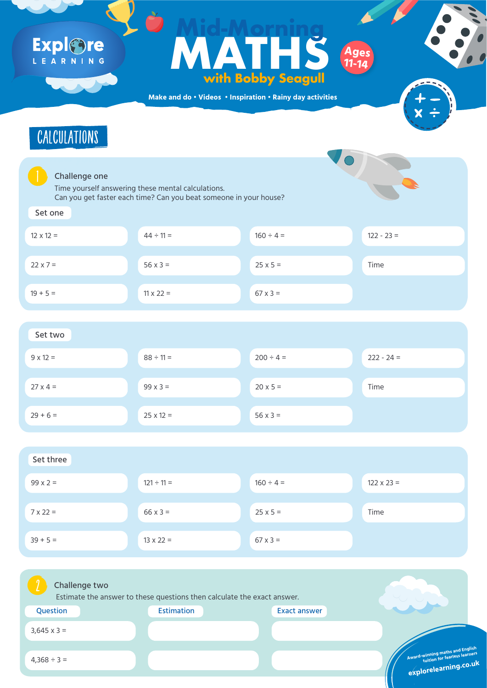**Make and do • Videos • Inspiration • Rainy day activities**



**design to Time yourself answering these mental calculations.** Can you get faster each time? Can you beat someone in your house?



#### Set one



| $12 \times 12 =$ | $44 \div 11 =$   | $160 \div 4 =$  | $122 - 23 =$ |
|------------------|------------------|-----------------|--------------|
| $22 \times 7 =$  | $56 \times 3 =$  | $25 \times 5 =$ | Time         |
| $19 + 5 =$       | $11 \times 22 =$ | $67 \times 3 =$ |              |



| $9 \times 12 =$ | $88 \div 11 =$   | $200 \div 4 =$  | $222 - 24 =$ |
|-----------------|------------------|-----------------|--------------|
|                 |                  |                 |              |
| $27 \times 4 =$ | $99 \times 3 =$  | $20 \times 5 =$ | Time         |
|                 |                  |                 |              |
| $29 + 6 =$      | $25 \times 12 =$ | $56 \times 3 =$ |              |
|                 |                  |                 |              |

### Expl®re LEARNING

#### Ages<br>
With Bobby Seagull<br>
ddo · Videos · Inspiration · Rainy day activities **MATHS with Bobby Seagull Mid-Morning Ages 11-14**



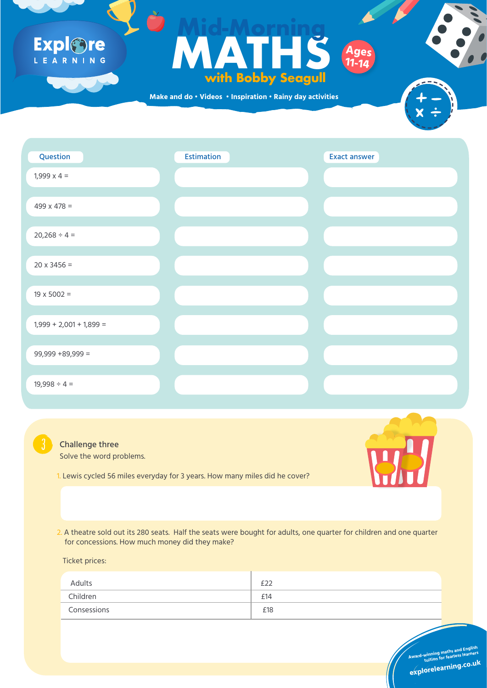Solve the word problems.

1. Lewis cycled 56 miles everyday for 3 years. How many miles did he cover?



**Award-winning maths and English<br>Award-winning for fearless learners** 

2. A theatre sold out its 280 seats. Half the seats were bought for adults, one quarter for children and one quarter for concessions. How much money did they make?

Ticket prices:

| Adults      | $\cap$ |
|-------------|--------|
| Children    | £14    |
| Consessions | £18    |
|             |        |

### Expl&re L E A R N I N G

# **Formulation Control of the State of the State of the State of the State of the State of the State of the State of the State of the State of the State of the State of the State of the State of the State of the State of the with Bobby Seagull Mid-Morning Ages 11-14**

**Make and do • Videos • Inspiration • Rainy day activities**





**tuition for fearless learners**

**explorelearning.co.u<sup>k</sup>**





#### Challenge three

Question Estimation Exact answer